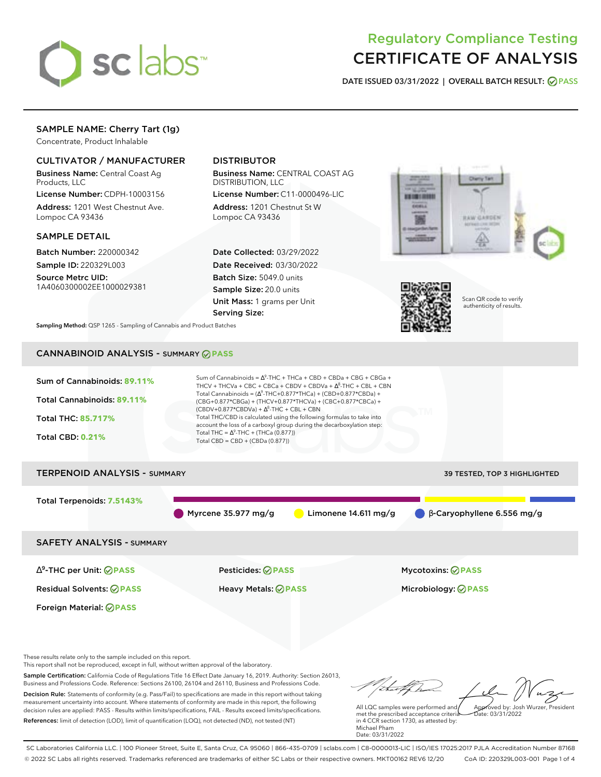

# Regulatory Compliance Testing CERTIFICATE OF ANALYSIS

**DATE ISSUED 03/31/2022 | OVERALL BATCH RESULT: PASS**

# SAMPLE NAME: Cherry Tart (1g)

Concentrate, Product Inhalable

## CULTIVATOR / MANUFACTURER

Business Name: Central Coast Ag Products, LLC

License Number: CDPH-10003156 Address: 1201 West Chestnut Ave. Lompoc CA 93436

### SAMPLE DETAIL

Batch Number: 220000342 Sample ID: 220329L003

Source Metrc UID: 1A4060300002EE1000029381

# DISTRIBUTOR

Business Name: CENTRAL COAST AG DISTRIBUTION, LLC

License Number: C11-0000496-LIC Address: 1201 Chestnut St W Lompoc CA 93436

Date Collected: 03/29/2022 Date Received: 03/30/2022 Batch Size: 5049.0 units Sample Size: 20.0 units Unit Mass: 1 grams per Unit Serving Size:





Scan QR code to verify authenticity of results.

**Sampling Method:** QSP 1265 - Sampling of Cannabis and Product Batches

# CANNABINOID ANALYSIS - SUMMARY **PASS**



These results relate only to the sample included on this report.

This report shall not be reproduced, except in full, without written approval of the laboratory.

Sample Certification: California Code of Regulations Title 16 Effect Date January 16, 2019. Authority: Section 26013, Business and Professions Code. Reference: Sections 26100, 26104 and 26110, Business and Professions Code. Decision Rule: Statements of conformity (e.g. Pass/Fail) to specifications are made in this report without taking measurement uncertainty into account. Where statements of conformity are made in this report, the following decision rules are applied: PASS - Results within limits/specifications, FAIL - Results exceed limits/specifications.

References: limit of detection (LOD), limit of quantification (LOQ), not detected (ND), not tested (NT)

Approved by: Josh Wurzer, President

 $hat: 03/31/2022$ 

All LQC samples were performed and met the prescribed acceptance criteria in 4 CCR section 1730, as attested by: Michael Pham Date: 03/31/2022

SC Laboratories California LLC. | 100 Pioneer Street, Suite E, Santa Cruz, CA 95060 | 866-435-0709 | sclabs.com | C8-0000013-LIC | ISO/IES 17025:2017 PJLA Accreditation Number 87168 © 2022 SC Labs all rights reserved. Trademarks referenced are trademarks of either SC Labs or their respective owners. MKT00162 REV6 12/20 CoA ID: 220329L003-001 Page 1 of 4